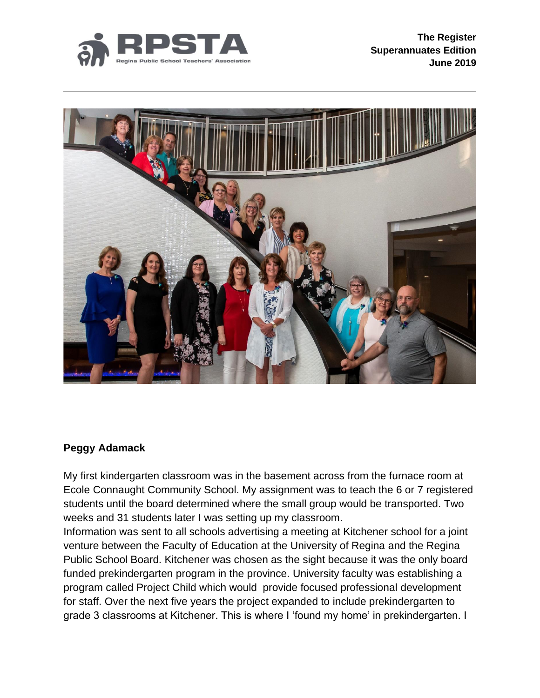



### **Peggy Adamack**

My first kindergarten classroom was in the basement across from the furnace room at Ecole Connaught Community School. My assignment was to teach the 6 or 7 registered students until the board determined where the small group would be transported. Two weeks and 31 students later I was setting up my classroom.

Information was sent to all schools advertising a meeting at Kitchener school for a joint venture between the Faculty of Education at the University of Regina and the Regina Public School Board. Kitchener was chosen as the sight because it was the only board funded prekindergarten program in the province. University faculty was establishing a program called Project Child which would provide focused professional development for staff. Over the next five years the project expanded to include prekindergarten to grade 3 classrooms at Kitchener. This is where I 'found my home' in prekindergarten. I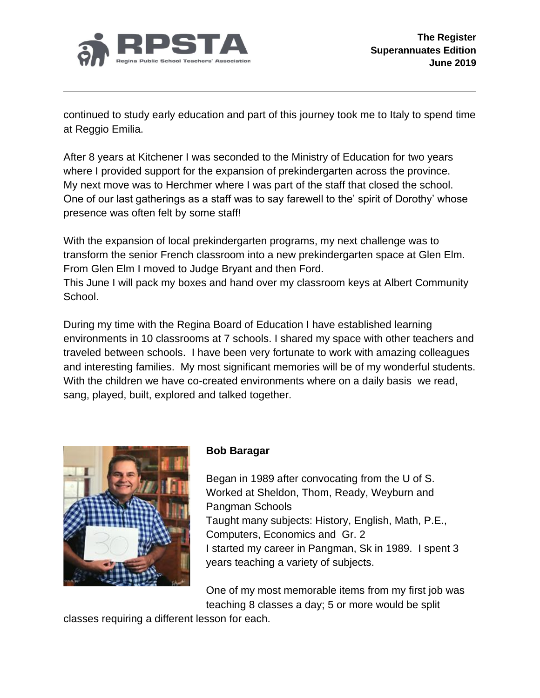

continued to study early education and part of this journey took me to Italy to spend time at Reggio Emilia.

After 8 years at Kitchener I was seconded to the Ministry of Education for two years where I provided support for the expansion of prekindergarten across the province. My next move was to Herchmer where I was part of the staff that closed the school. One of our last gatherings as a staff was to say farewell to the' spirit of Dorothy' whose presence was often felt by some staff!

With the expansion of local prekindergarten programs, my next challenge was to transform the senior French classroom into a new prekindergarten space at Glen Elm. From Glen Elm I moved to Judge Bryant and then Ford.

This June I will pack my boxes and hand over my classroom keys at Albert Community School.

During my time with the Regina Board of Education I have established learning environments in 10 classrooms at 7 schools. I shared my space with other teachers and traveled between schools. I have been very fortunate to work with amazing colleagues and interesting families. My most significant memories will be of my wonderful students. With the children we have co-created environments where on a daily basis we read, sang, played, built, explored and talked together.



# **Bob Baragar**

Began in 1989 after convocating from the U of S. Worked at Sheldon, Thom, Ready, Weyburn and Pangman Schools Taught many subjects: History, English, Math, P.E., Computers, Economics and Gr. 2 I started my career in Pangman, Sk in 1989. I spent 3 years teaching a variety of subjects.

One of my most memorable items from my first job was teaching 8 classes a day; 5 or more would be split

classes requiring a different lesson for each.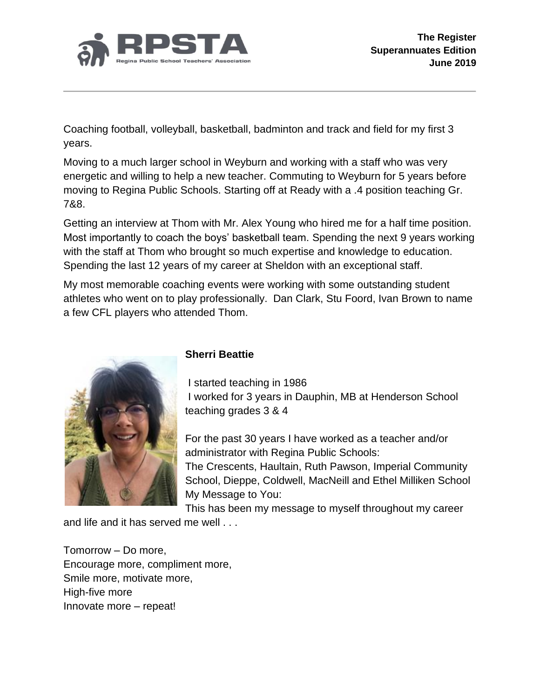

Coaching football, volleyball, basketball, badminton and track and field for my first 3 years.

Moving to a much larger school in Weyburn and working with a staff who was very energetic and willing to help a new teacher. Commuting to Weyburn for 5 years before moving to Regina Public Schools. Starting off at Ready with a .4 position teaching Gr. 7&8.

Getting an interview at Thom with Mr. Alex Young who hired me for a half time position. Most importantly to coach the boys' basketball team. Spending the next 9 years working with the staff at Thom who brought so much expertise and knowledge to education. Spending the last 12 years of my career at Sheldon with an exceptional staff.

My most memorable coaching events were working with some outstanding student athletes who went on to play professionally. Dan Clark, Stu Foord, Ivan Brown to name a few CFL players who attended Thom.



# **Sherri Beattie**

I started teaching in 1986 I worked for 3 years in Dauphin, MB at Henderson School teaching grades 3 & 4

For the past 30 years I have worked as a teacher and/or administrator with Regina Public Schools: The Crescents, Haultain, Ruth Pawson, Imperial Community School, Dieppe, Coldwell, MacNeill and Ethel Milliken School My Message to You:

This has been my message to myself throughout my career

and life and it has served me well . . .

Tomorrow – Do more, Encourage more, compliment more, Smile more, motivate more, High-five more Innovate more – repeat!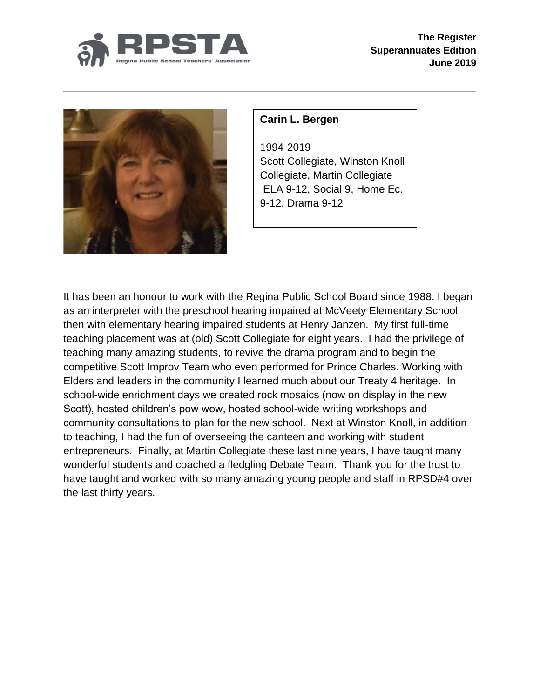



# **Carin L. Bergen**

1994-2019 Scott Collegiate, Winston Knoll Collegiate, Martin Collegiate ELA 9-12, Social 9, Home Ec. 9-12, Drama 9-12

It has been an honour to work with the Regina Public School Board since 1988. I began as an interpreter with the preschool hearing impaired at McVeety Elementary School then with elementary hearing impaired students at Henry Janzen. My first full-time teaching placement was at (old) Scott Collegiate for eight years. I had the privilege of teaching many amazing students, to revive the drama program and to begin the competitive Scott Improv Team who even performed for Prince Charles. Working with Elders and leaders in the community I learned much about our Treaty 4 heritage. In school-wide enrichment days we created rock mosaics (now on display in the new Scott), hosted children's pow wow, hosted school-wide writing workshops and community consultations to plan for the new school. Next at Winston Knoll, in addition to teaching, I had the fun of overseeing the canteen and working with student entrepreneurs. Finally, at Martin Collegiate these last nine years, I have taught many wonderful students and coached a fledgling Debate Team. Thank you for the trust to have taught and worked with so many amazing young people and staff in RPSD#4 over the last thirty years.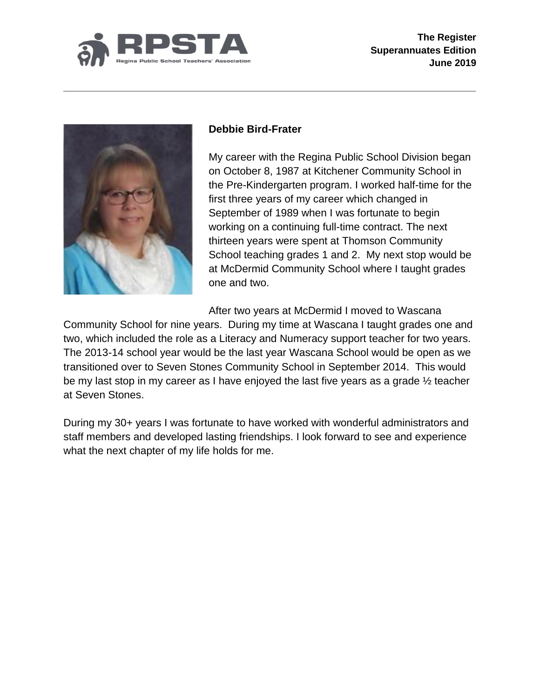



## **Debbie Bird-Frater**

My career with the Regina Public School Division began on October 8, 1987 at Kitchener Community School in the Pre-Kindergarten program. I worked half-time for the first three years of my career which changed in September of 1989 when I was fortunate to begin working on a continuing full-time contract. The next thirteen years were spent at Thomson Community School teaching grades 1 and 2. My next stop would be at McDermid Community School where I taught grades one and two.

After two years at McDermid I moved to Wascana

Community School for nine years. During my time at Wascana I taught grades one and two, which included the role as a Literacy and Numeracy support teacher for two years. The 2013-14 school year would be the last year Wascana School would be open as we transitioned over to Seven Stones Community School in September 2014. This would be my last stop in my career as I have enjoyed the last five years as a grade ½ teacher at Seven Stones.

During my 30+ years I was fortunate to have worked with wonderful administrators and staff members and developed lasting friendships. I look forward to see and experience what the next chapter of my life holds for me.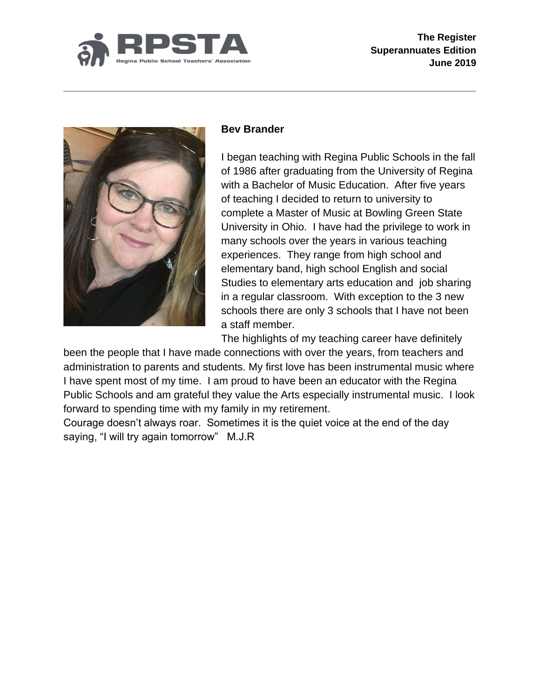



#### **Bev Brander**

I began teaching with Regina Public Schools in the fall of 1986 after graduating from the University of Regina with a Bachelor of Music Education. After five years of teaching I decided to return to university to complete a Master of Music at Bowling Green State University in Ohio. I have had the privilege to work in many schools over the years in various teaching experiences. They range from high school and elementary band, high school English and social Studies to elementary arts education and job sharing in a regular classroom. With exception to the 3 new schools there are only 3 schools that I have not been a staff member.

The highlights of my teaching career have definitely

been the people that I have made connections with over the years, from teachers and administration to parents and students. My first love has been instrumental music where I have spent most of my time. I am proud to have been an educator with the Regina Public Schools and am grateful they value the Arts especially instrumental music. I look forward to spending time with my family in my retirement.

Courage doesn't always roar. Sometimes it is the quiet voice at the end of the day saying, "I will try again tomorrow" M.J.R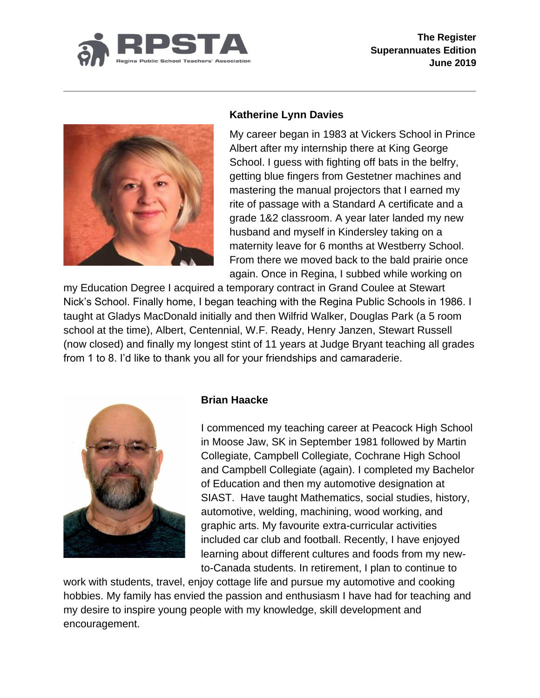



## **Katherine Lynn Davies**

My career began in 1983 at Vickers School in Prince Albert after my internship there at King George School. I guess with fighting off bats in the belfry, getting blue fingers from Gestetner machines and mastering the manual projectors that I earned my rite of passage with a Standard A certificate and a grade 1&2 classroom. A year later landed my new husband and myself in Kindersley taking on a maternity leave for 6 months at Westberry School. From there we moved back to the bald prairie once again. Once in Regina, I subbed while working on

my Education Degree I acquired a temporary contract in Grand Coulee at Stewart Nick's School. Finally home, I began teaching with the Regina Public Schools in 1986. I taught at Gladys MacDonald initially and then Wilfrid Walker, Douglas Park (a 5 room school at the time), Albert, Centennial, W.F. Ready, Henry Janzen, Stewart Russell (now closed) and finally my longest stint of 11 years at Judge Bryant teaching all grades from 1 to 8. I'd like to thank you all for your friendships and camaraderie.



#### **Brian Haacke**

I commenced my teaching career at Peacock High School in Moose Jaw, SK in September 1981 followed by Martin Collegiate, Campbell Collegiate, Cochrane High School and Campbell Collegiate (again). I completed my Bachelor of Education and then my automotive designation at SIAST. Have taught Mathematics, social studies, history, automotive, welding, machining, wood working, and graphic arts. My favourite extra-curricular activities included car club and football. Recently, I have enjoyed learning about different cultures and foods from my newto-Canada students. In retirement, I plan to continue to

work with students, travel, enjoy cottage life and pursue my automotive and cooking hobbies. My family has envied the passion and enthusiasm I have had for teaching and my desire to inspire young people with my knowledge, skill development and encouragement.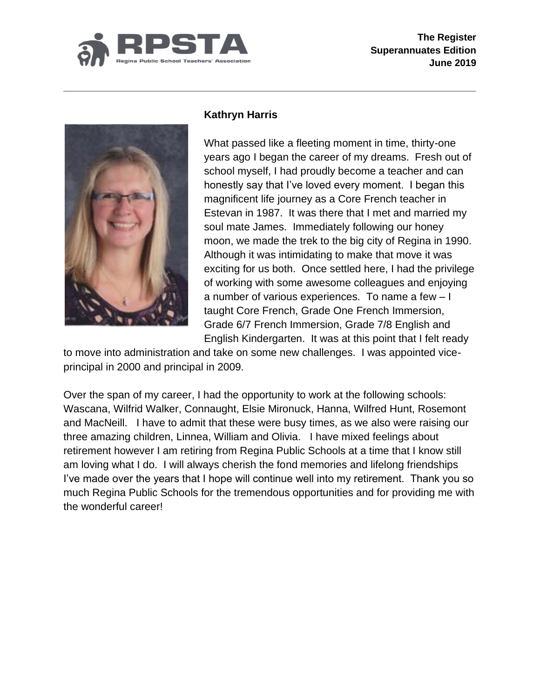



# **Kathryn Harris**

What passed like a fleeting moment in time, thirty-one years ago I began the career of my dreams. Fresh out of school myself, I had proudly become a teacher and can honestly say that I've loved every moment. I began this magnificent life journey as a Core French teacher in Estevan in 1987. It was there that I met and married my soul mate James. Immediately following our honey moon, we made the trek to the big city of Regina in 1990. Although it was intimidating to make that move it was exciting for us both. Once settled here, I had the privilege of working with some awesome colleagues and enjoying a number of various experiences. To name a few – I taught Core French, Grade One French Immersion, Grade 6/7 French Immersion, Grade 7/8 English and English Kindergarten. It was at this point that I felt ready

to move into administration and take on some new challenges. I was appointed viceprincipal in 2000 and principal in 2009.

Over the span of my career, I had the opportunity to work at the following schools: Wascana, Wilfrid Walker, Connaught, Elsie Mironuck, Hanna, Wilfred Hunt, Rosemont and MacNeill. I have to admit that these were busy times, as we also were raising our three amazing children, Linnea, William and Olivia. I have mixed feelings about retirement however I am retiring from Regina Public Schools at a time that I know still am loving what I do. I will always cherish the fond memories and lifelong friendships I've made over the years that I hope will continue well into my retirement. Thank you so much Regina Public Schools for the tremendous opportunities and for providing me with the wonderful career!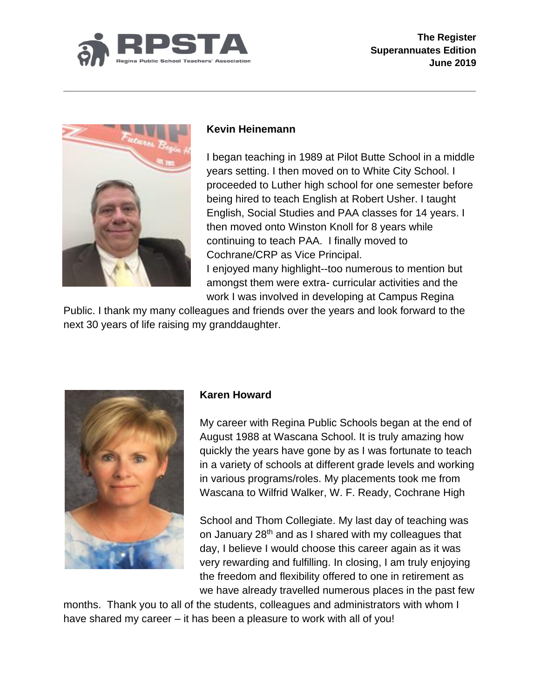



### **Kevin Heinemann**

I began teaching in 1989 at Pilot Butte School in a middle years setting. I then moved on to White City School. I proceeded to Luther high school for one semester before being hired to teach English at Robert Usher. I taught English, Social Studies and PAA classes for 14 years. I then moved onto Winston Knoll for 8 years while continuing to teach PAA. I finally moved to Cochrane/CRP as Vice Principal. I enjoyed many highlight--too numerous to mention but amongst them were extra- curricular activities and the work I was involved in developing at Campus Regina

Public. I thank my many colleagues and friends over the years and look forward to the next 30 years of life raising my granddaughter.



### **Karen Howard**

My career with Regina Public Schools began at the end of August 1988 at Wascana School. It is truly amazing how quickly the years have gone by as I was fortunate to teach in a variety of schools at different grade levels and working in various programs/roles. My placements took me from Wascana to Wilfrid Walker, W. F. Ready, Cochrane High

School and Thom Collegiate. My last day of teaching was on January 28<sup>th</sup> and as I shared with my colleagues that day, I believe I would choose this career again as it was very rewarding and fulfilling. In closing, I am truly enjoying the freedom and flexibility offered to one in retirement as we have already travelled numerous places in the past few

months. Thank you to all of the students, colleagues and administrators with whom I have shared my career – it has been a pleasure to work with all of you!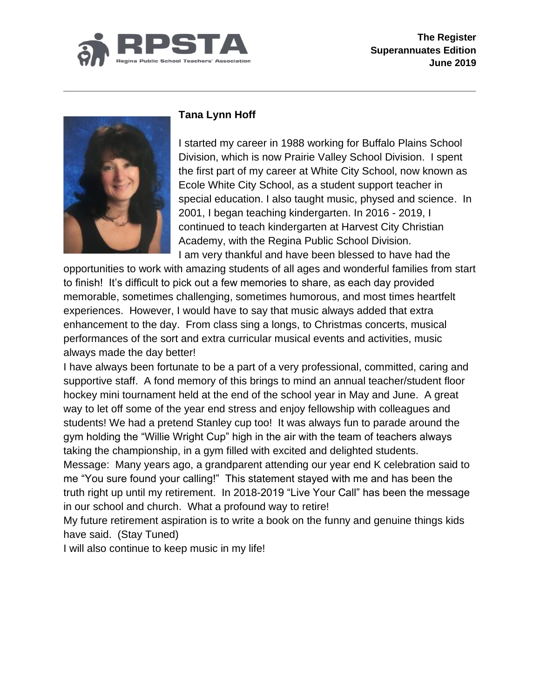



# **Tana Lynn Hoff**

I started my career in 1988 working for Buffalo Plains School Division, which is now Prairie Valley School Division. I spent the first part of my career at White City School, now known as Ecole White City School, as a student support teacher in special education. I also taught music, physed and science. In 2001, I began teaching kindergarten. In 2016 - 2019, I continued to teach kindergarten at Harvest City Christian Academy, with the Regina Public School Division. I am very thankful and have been blessed to have had the

opportunities to work with amazing students of all ages and wonderful families from start to finish! It's difficult to pick out a few memories to share, as each day provided memorable, sometimes challenging, sometimes humorous, and most times heartfelt experiences. However, I would have to say that music always added that extra enhancement to the day. From class sing a longs, to Christmas concerts, musical performances of the sort and extra curricular musical events and activities, music always made the day better!

I have always been fortunate to be a part of a very professional, committed, caring and supportive staff. A fond memory of this brings to mind an annual teacher/student floor hockey mini tournament held at the end of the school year in May and June. A great way to let off some of the year end stress and enjoy fellowship with colleagues and students! We had a pretend Stanley cup too! It was always fun to parade around the gym holding the "Willie Wright Cup" high in the air with the team of teachers always taking the championship, in a gym filled with excited and delighted students.

Message: Many years ago, a grandparent attending our year end K celebration said to me "You sure found your calling!" This statement stayed with me and has been the truth right up until my retirement. In 2018-2019 "Live Your Call" has been the message in our school and church. What a profound way to retire!

My future retirement aspiration is to write a book on the funny and genuine things kids have said. (Stay Tuned)

I will also continue to keep music in my life!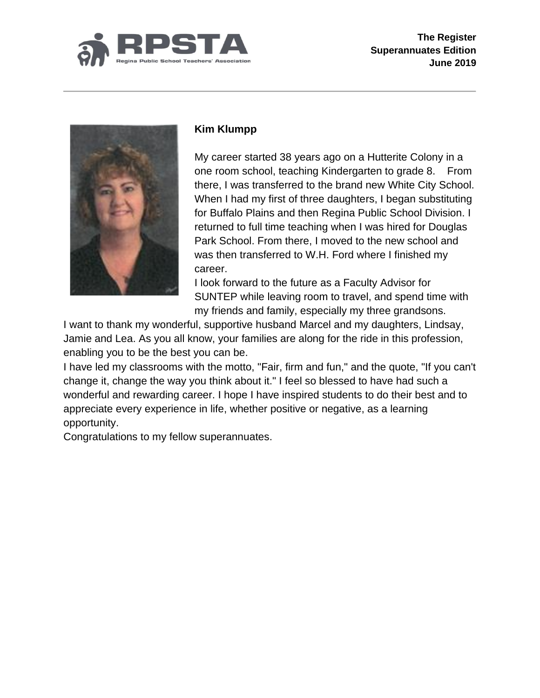



# **Kim Klumpp**

My career started 38 years ago on a Hutterite Colony in a one room school, teaching Kindergarten to grade 8. From there, I was transferred to the brand new White City School. When I had my first of three daughters, I began substituting for Buffalo Plains and then Regina Public School Division. I returned to full time teaching when I was hired for Douglas Park School. From there, I moved to the new school and was then transferred to W.H. Ford where I finished my career.

I look forward to the future as a Faculty Advisor for SUNTEP while leaving room to travel, and spend time with my friends and family, especially my three grandsons.

I want to thank my wonderful, supportive husband Marcel and my daughters, Lindsay, Jamie and Lea. As you all know, your families are along for the ride in this profession, enabling you to be the best you can be.

I have led my classrooms with the motto, "Fair, firm and fun," and the quote, "If you can't change it, change the way you think about it." I feel so blessed to have had such a wonderful and rewarding career. I hope I have inspired students to do their best and to appreciate every experience in life, whether positive or negative, as a learning opportunity.

Congratulations to my fellow superannuates.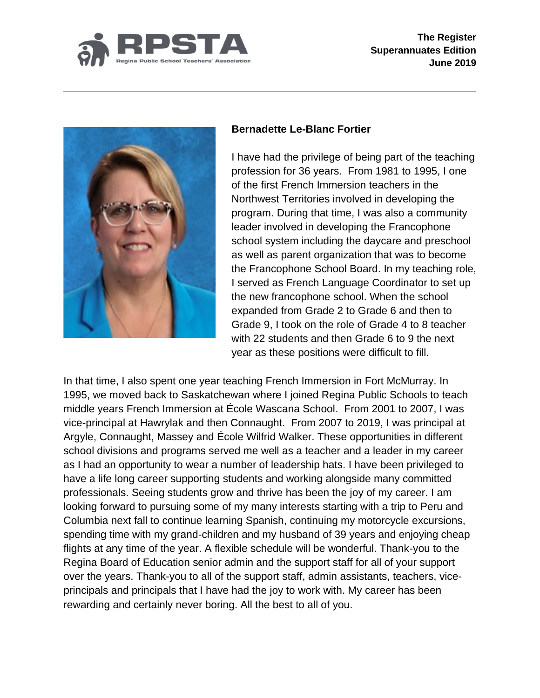



## **Bernadette Le-Blanc Fortier**

I have had the privilege of being part of the teaching profession for 36 years. From 1981 to 1995, I one of the first French Immersion teachers in the Northwest Territories involved in developing the program. During that time, I was also a community leader involved in developing the Francophone school system including the daycare and preschool as well as parent organization that was to become the Francophone School Board. In my teaching role, I served as French Language Coordinator to set up the new francophone school. When the school expanded from Grade 2 to Grade 6 and then to Grade 9, I took on the role of Grade 4 to 8 teacher with 22 students and then Grade 6 to 9 the next year as these positions were difficult to fill.

In that time, I also spent one year teaching French Immersion in Fort McMurray. In 1995, we moved back to Saskatchewan where I joined Regina Public Schools to teach middle years French Immersion at École Wascana School. From 2001 to 2007, I was vice-principal at Hawrylak and then Connaught. From 2007 to 2019, I was principal at Argyle, Connaught, Massey and École Wilfrid Walker. These opportunities in different school divisions and programs served me well as a teacher and a leader in my career as I had an opportunity to wear a number of leadership hats. I have been privileged to have a life long career supporting students and working alongside many committed professionals. Seeing students grow and thrive has been the joy of my career. I am looking forward to pursuing some of my many interests starting with a trip to Peru and Columbia next fall to continue learning Spanish, continuing my motorcycle excursions, spending time with my grand-children and my husband of 39 years and enjoying cheap flights at any time of the year. A flexible schedule will be wonderful. Thank-you to the Regina Board of Education senior admin and the support staff for all of your support over the years. Thank-you to all of the support staff, admin assistants, teachers, viceprincipals and principals that I have had the joy to work with. My career has been rewarding and certainly never boring. All the best to all of you.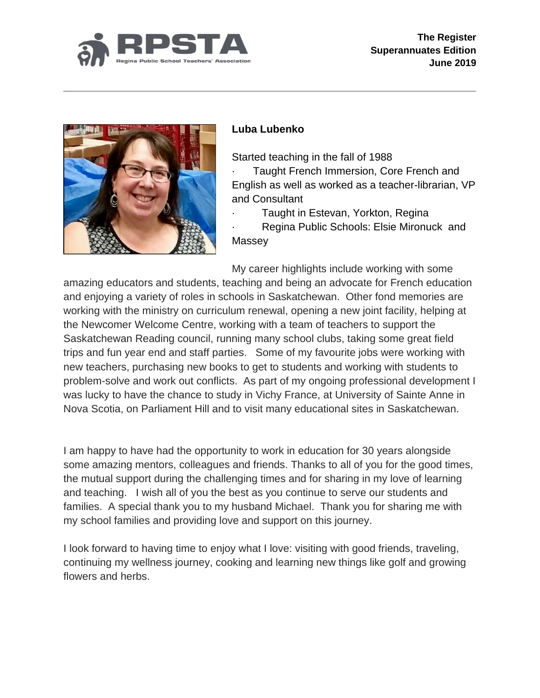



# **Luba Lubenko**

Started teaching in the fall of 1988

Taught French Immersion, Core French and English as well as worked as a teacher-librarian, VP and Consultant

Taught in Estevan, Yorkton, Regina

Regina Public Schools: Elsie Mironuck and **Massey** 

My career highlights include working with some

amazing educators and students, teaching and being an advocate for French education and enjoying a variety of roles in schools in Saskatchewan. Other fond memories are working with the ministry on curriculum renewal, opening a new joint facility, helping at the Newcomer Welcome Centre, working with a team of teachers to support the Saskatchewan Reading council, running many school clubs, taking some great field trips and fun year end and staff parties. Some of my favourite jobs were working with new teachers, purchasing new books to get to students and working with students to problem-solve and work out conflicts. As part of my ongoing professional development I was lucky to have the chance to study in Vichy France, at University of Sainte Anne in Nova Scotia, on Parliament Hill and to visit many educational sites in Saskatchewan.

I am happy to have had the opportunity to work in education for 30 years alongside some amazing mentors, colleagues and friends. Thanks to all of you for the good times, the mutual support during the challenging times and for sharing in my love of learning and teaching. I wish all of you the best as you continue to serve our students and families. A special thank you to my husband Michael. Thank you for sharing me with my school families and providing love and support on this journey.

I look forward to having time to enjoy what I love: visiting with good friends, traveling, continuing my wellness journey, cooking and learning new things like golf and growing flowers and herbs.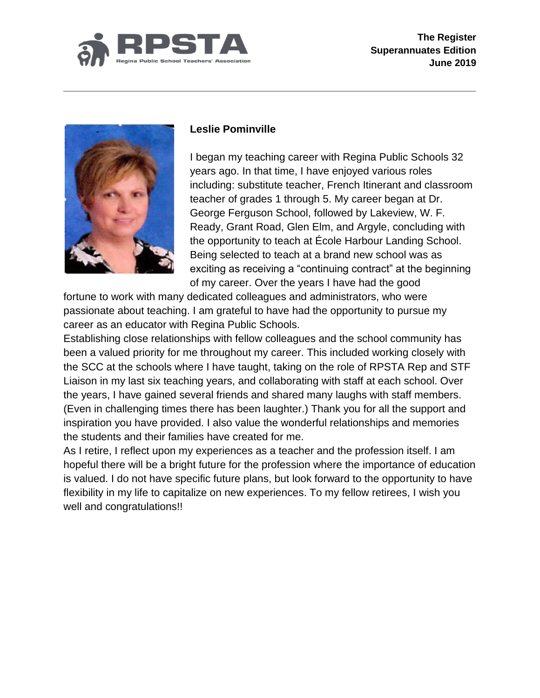



### **Leslie Pominville**

I began my teaching career with Regina Public Schools 32 years ago. In that time, I have enjoyed various roles including: substitute teacher, French Itinerant and classroom teacher of grades 1 through 5. My career began at Dr. George Ferguson School, followed by Lakeview, W. F. Ready, Grant Road, Glen Elm, and Argyle, concluding with the opportunity to teach at École Harbour Landing School. Being selected to teach at a brand new school was as exciting as receiving a "continuing contract" at the beginning of my career. Over the years I have had the good

fortune to work with many dedicated colleagues and administrators, who were passionate about teaching. I am grateful to have had the opportunity to pursue my career as an educator with Regina Public Schools.

Establishing close relationships with fellow colleagues and the school community has been a valued priority for me throughout my career. This included working closely with the SCC at the schools where I have taught, taking on the role of RPSTA Rep and STF Liaison in my last six teaching years, and collaborating with staff at each school. Over the years, I have gained several friends and shared many laughs with staff members. (Even in challenging times there has been laughter.) Thank you for all the support and inspiration you have provided. I also value the wonderful relationships and memories the students and their families have created for me.

As I retire, I reflect upon my experiences as a teacher and the profession itself. I am hopeful there will be a bright future for the profession where the importance of education is valued. I do not have specific future plans, but look forward to the opportunity to have flexibility in my life to capitalize on new experiences. To my fellow retirees, I wish you well and congratulations!!